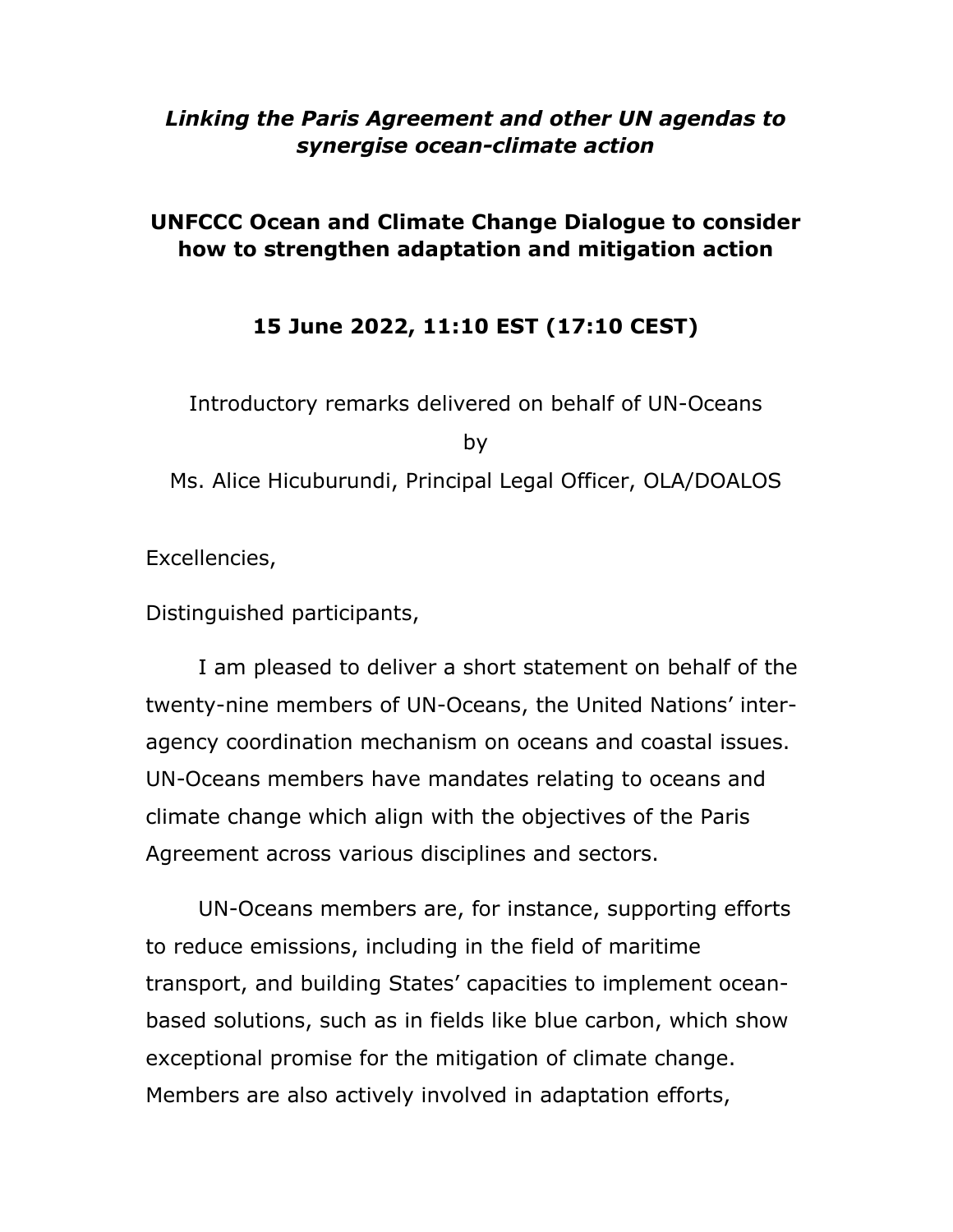## *Linking the Paris Agreement and other UN agendas to synergise ocean-climate action*

## **UNFCCC Ocean and Climate Change Dialogue to consider how to strengthen adaptation and mitigation action**

## **15 June 2022, 11:10 EST (17:10 CEST)**

Introductory remarks delivered on behalf of UN-Oceans by Ms. Alice Hicuburundi, Principal Legal Officer, OLA/DOALOS

Excellencies,

Distinguished participants,

I am pleased to deliver a short statement on behalf of the twenty-nine members of UN-Oceans, the United Nations' interagency coordination mechanism on oceans and coastal issues. UN-Oceans members have mandates relating to oceans and climate change which align with the objectives of the Paris Agreement across various disciplines and sectors.

UN-Oceans members are, for instance, supporting efforts to reduce emissions, including in the field of maritime transport, and building States' capacities to implement oceanbased solutions, such as in fields like blue carbon, which show exceptional promise for the mitigation of climate change. Members are also actively involved in adaptation efforts,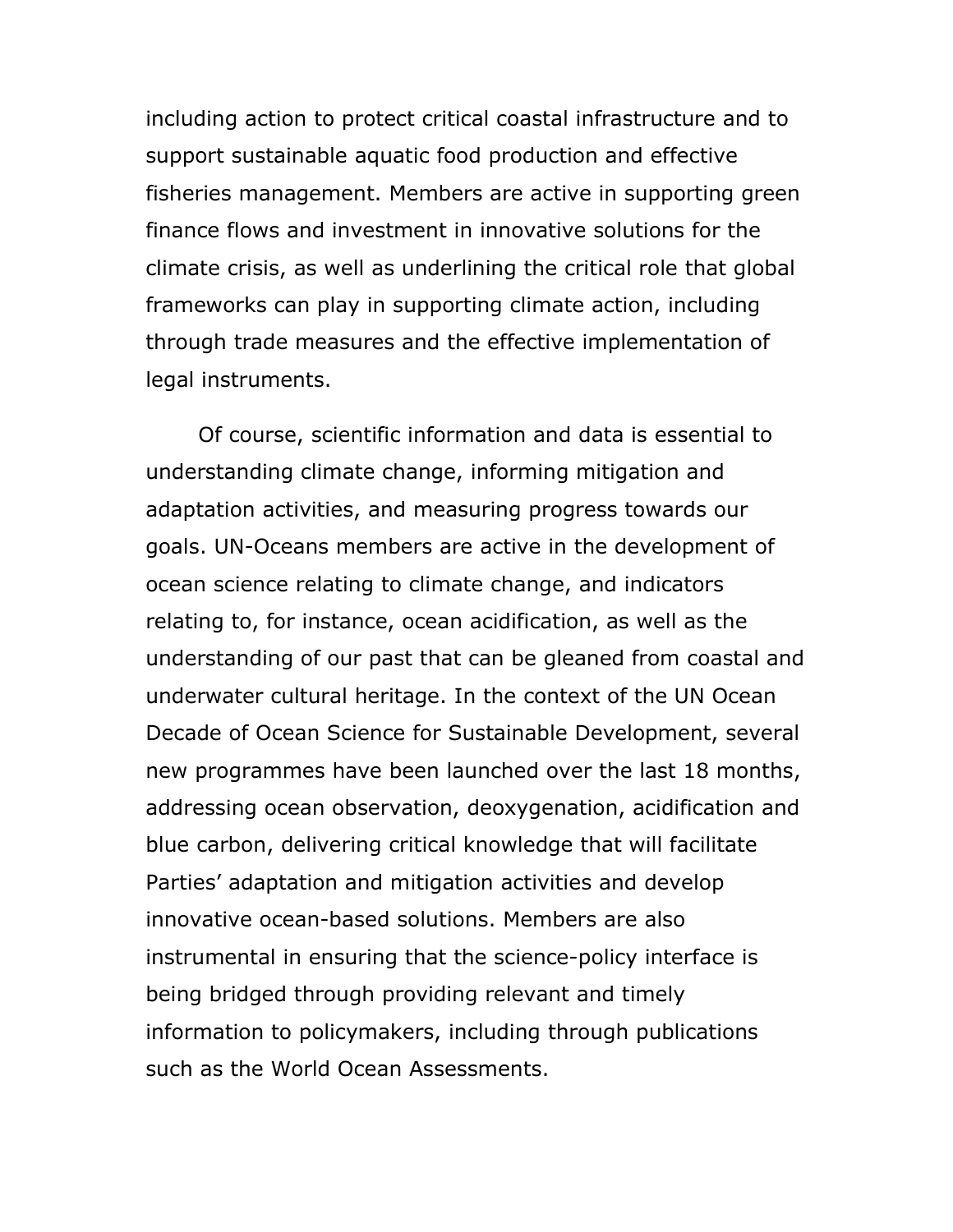including action to protect critical coastal infrastructure and to support sustainable aquatic food production and effective fisheries management. Members are active in supporting green finance flows and investment in innovative solutions for the climate crisis, as well as underlining the critical role that global frameworks can play in supporting climate action, including through trade measures and the effective implementation of legal instruments.

Of course, scientific information and data is essential to understanding climate change, informing mitigation and adaptation activities, and measuring progress towards our goals. UN-Oceans members are active in the development of ocean science relating to climate change, and indicators relating to, for instance, ocean acidification, as well as the understanding of our past that can be gleaned from coastal and underwater cultural heritage. In the context of the UN Ocean Decade of Ocean Science for Sustainable Development, several new programmes have been launched over the last 18 months, addressing ocean observation, deoxygenation, acidification and blue carbon, delivering critical knowledge that will facilitate Parties' adaptation and mitigation activities and develop innovative ocean-based solutions. Members are also instrumental in ensuring that the science-policy interface is being bridged through providing relevant and timely information to policymakers, including through publications such as the World Ocean Assessments.